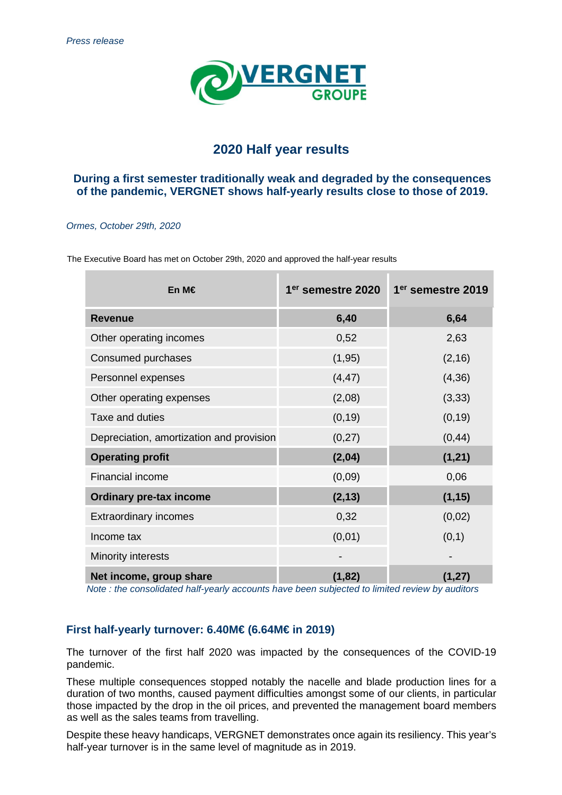

# **2020 Half year results**

## **During a first semester traditionally weak and degraded by the consequences of the pandemic, VERGNET shows half-yearly results close to those of 2019.**

#### Ormes, October 29th, 2020

| En M€                                    | 1 <sup>er</sup> semestre 2020 | 1 <sup>er</sup> semestre 2019 |
|------------------------------------------|-------------------------------|-------------------------------|
| <b>Revenue</b>                           | 6,40                          | 6,64                          |
| Other operating incomes                  | 0,52                          | 2,63                          |
| Consumed purchases                       | (1, 95)                       | (2, 16)                       |
| Personnel expenses                       | (4, 47)                       | (4, 36)                       |
| Other operating expenses                 | (2,08)                        | (3, 33)                       |
| Taxe and duties                          | (0, 19)                       | (0, 19)                       |
| Depreciation, amortization and provision | (0, 27)                       | (0, 44)                       |
| <b>Operating profit</b>                  | (2, 04)                       | (1, 21)                       |
| Financial income                         | (0,09)                        | 0,06                          |
| <b>Ordinary pre-tax income</b>           | (2, 13)                       | (1, 15)                       |
| <b>Extraordinary incomes</b>             | 0,32                          | (0,02)                        |
| Income tax                               | (0, 01)                       | (0,1)                         |
| Minority interests                       |                               |                               |
| Net income, group share                  | (1, 82)                       | (1, 27)                       |

The Executive Board has met on October 29th, 2020 and approved the half-year results

Note : the consolidated half-yearly accounts have been subjected to limited review by auditors

## **First half-yearly turnover: 6.40M€ (6.64M€ in 2019)**

The turnover of the first half 2020 was impacted by the consequences of the COVID-19 pandemic.

These multiple consequences stopped notably the nacelle and blade production lines for a duration of two months, caused payment difficulties amongst some of our clients, in particular those impacted by the drop in the oil prices, and prevented the management board members as well as the sales teams from travelling.

Despite these heavy handicaps, VERGNET demonstrates once again its resiliency. This year's half-year turnover is in the same level of magnitude as in 2019.